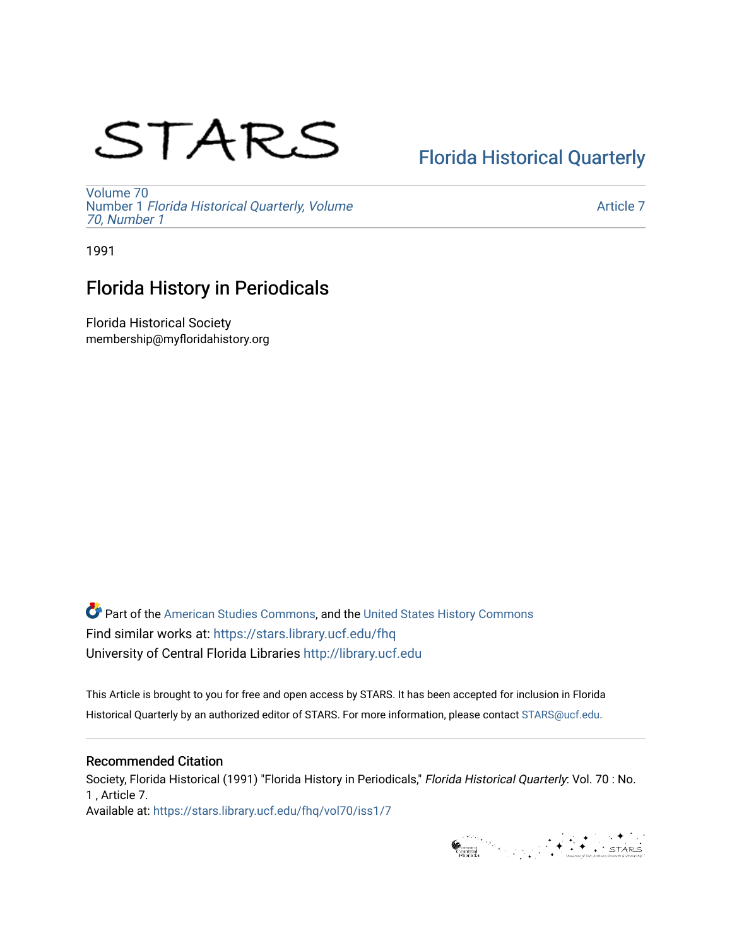# STARS

# [Florida Historical Quarterly](https://stars.library.ucf.edu/fhq)

[Volume 70](https://stars.library.ucf.edu/fhq/vol70) Number 1 [Florida Historical Quarterly, Volume](https://stars.library.ucf.edu/fhq/vol70/iss1)  [70, Number 1](https://stars.library.ucf.edu/fhq/vol70/iss1)

[Article 7](https://stars.library.ucf.edu/fhq/vol70/iss1/7) 

1991

## Florida History in Periodicals

Florida Historical Society membership@myfloridahistory.org

**C** Part of the [American Studies Commons](http://network.bepress.com/hgg/discipline/439?utm_source=stars.library.ucf.edu%2Ffhq%2Fvol70%2Fiss1%2F7&utm_medium=PDF&utm_campaign=PDFCoverPages), and the United States History Commons Find similar works at: <https://stars.library.ucf.edu/fhq> University of Central Florida Libraries [http://library.ucf.edu](http://library.ucf.edu/) 

This Article is brought to you for free and open access by STARS. It has been accepted for inclusion in Florida Historical Quarterly by an authorized editor of STARS. For more information, please contact [STARS@ucf.edu.](mailto:STARS@ucf.edu)

### Recommended Citation

Society, Florida Historical (1991) "Florida History in Periodicals," Florida Historical Quarterly: Vol. 70 : No. 1 , Article 7. Available at: [https://stars.library.ucf.edu/fhq/vol70/iss1/7](https://stars.library.ucf.edu/fhq/vol70/iss1/7?utm_source=stars.library.ucf.edu%2Ffhq%2Fvol70%2Fiss1%2F7&utm_medium=PDF&utm_campaign=PDFCoverPages) 

General Marian Street (STARS)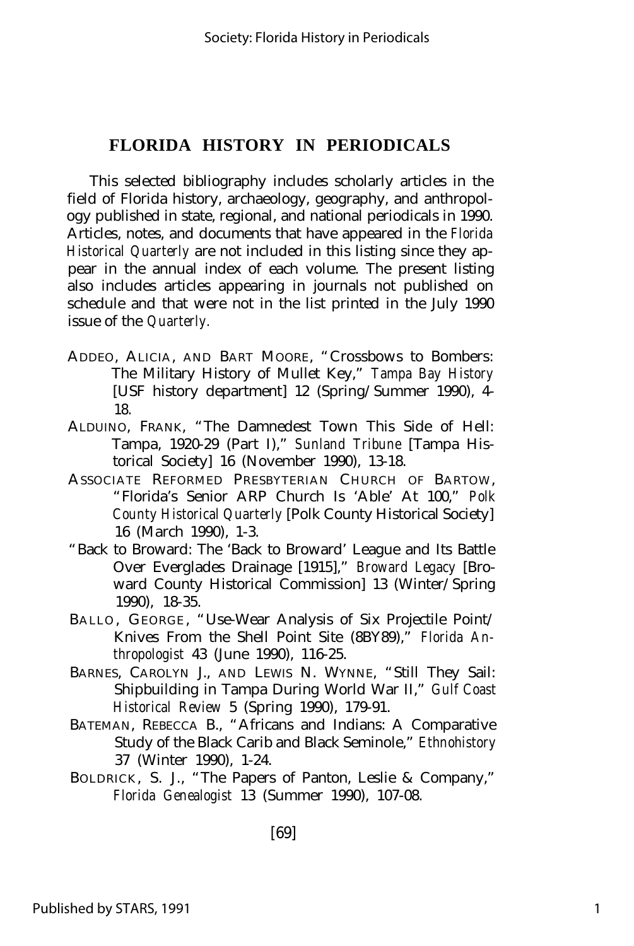#### **FLORIDA HISTORY IN PERIODICALS**

This selected bibliography includes scholarly articles in the field of Florida history, archaeology, geography, and anthropology published in state, regional, and national periodicals in 1990. Articles, notes, and documents that have appeared in the *Florida Historical Quarterly* are not included in this listing since they appear in the annual index of each volume. The present listing also includes articles appearing in journals not published on schedule and that were not in the list printed in the July 1990 issue of the *Quarterly.*

- ADDEO, ALICIA, AND BART MOORE, "Crossbows to Bombers: The Military History of Mullet Key," *Tampa Bay History* [USF history department] 12 (Spring/Summer 1990), 4- 18.
- ALDUINO, FRANK, "The Damnedest Town This Side of Hell: Tampa, 1920-29 (Part I)," *Sunland Tribune* [Tampa Historical Society] 16 (November 1990), 13-18.
- ASSOCIATE REFORMED PRESBYTERIAN CHURCH OF BARTOW, "Florida's Senior ARP Church Is 'Able' At 100," *Polk County Historical Quarterly* [Polk County Historical Society] 16 (March 1990), 1-3.
- "Back to Broward: The 'Back to Broward' League and Its Battle Over Everglades Drainage [1915]," *Broward Legacy* [Broward County Historical Commission] 13 (Winter/Spring 1990), 18-35.
- BALLO, GEORGE, "Use-Wear Analysis of Six Projectile Point/ Knives From the Shell Point Site (8BY89)," *Florida Anthropologist* 43 (June 1990), 116-25.
- BARNES, CAROLYN J., AND LEWIS N. WYNNE, "Still They Sail: Shipbuilding in Tampa During World War II," *Gulf Coast Historical Review* 5 (Spring 1990), 179-91.
- BATEMAN, REBECCA B., "Africans and Indians: A Comparative Study of the Black Carib and Black Seminole," *Ethnohistory* 37 (Winter 1990), 1-24.
- BOLDRICK, S. J., "The Papers of Panton, Leslie & Company," *Florida Genealogist* 13 (Summer 1990), 107-08.

[69]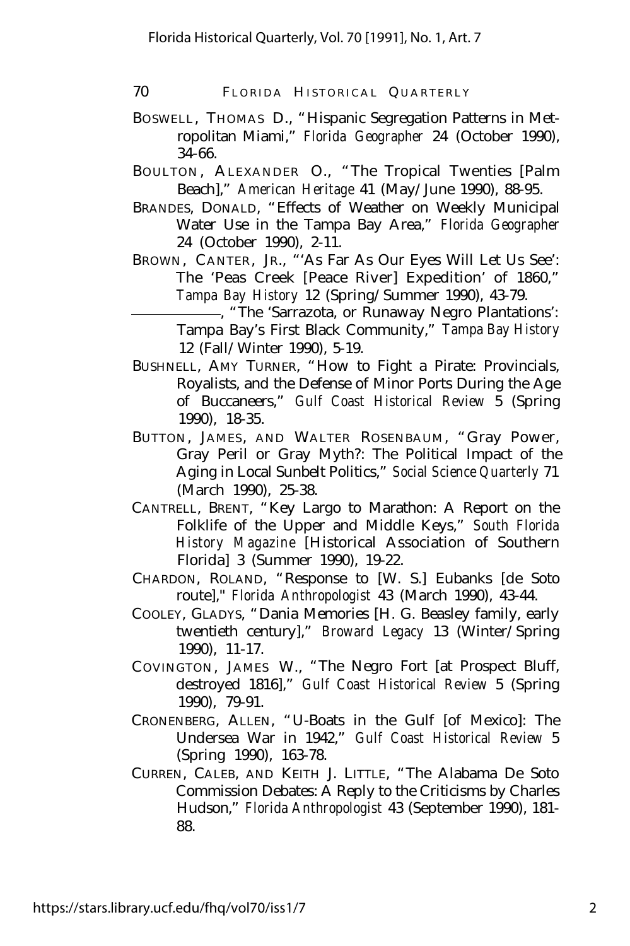- BOSWELL, THOMAS D., "Hispanic Segregation Patterns in Metropolitan Miami," *Florida Geographer* 24 (October 1990), 34-66.
- BOULTON, ALEXANDER O., "The Tropical Twenties [Palm Beach]," *American Heritage* 41 (May/June 1990), 88-95.
- BRANDES, DONALD, "Effects of Weather on Weekly Municipal Water Use in the Tampa Bay Area," *Florida Geographer* 24 (October 1990), 2-11.
- BROWN, CANTER, JR., "'As Far As Our Eyes Will Let Us See': The 'Peas Creek [Peace River] Expedition' of 1860," *Tampa Bay History* 12 (Spring/Summer 1990), 43-79.

, "The 'Sarrazota, or Runaway Negro Plantations': Tampa Bay's First Black Community," *Tampa Bay History* 12 (Fall/Winter 1990), 5-19.

- BUSHNELL, AMY TURNER, "How to Fight a Pirate: Provincials, Royalists, and the Defense of Minor Ports During the Age of Buccaneers," *Gulf Coast Historical Review* 5 (Spring 1990), 18-35.
- BUTTON, JAMES, AND WALTER ROSENBAUM, "Gray Power, Gray Peril or Gray Myth?: The Political Impact of the Aging in Local Sunbelt Politics," *Social Science Quarterly* 71 (March 1990), 25-38.
- CANTRELL, BRENT, "Key Largo to Marathon: A Report on the Folklife of the Upper and Middle Keys," *South Florida History Magazine* [Historical Association of Southern Florida] 3 (Summer 1990), 19-22.
- CHARDON, ROLAND, "Response to [W. S.] Eubanks [de Soto route]," *Florida Anthropologist* 43 (March 1990), 43-44.
- COOLEY, GLADYS, "Dania Memories [H. G. Beasley family, early twentieth century]," *Broward Legacy* 13 (Winter/Spring 1990), 11-17.
- COVINGTON, JAMES W., "The Negro Fort [at Prospect Bluff, destroyed 1816]," *Gulf Coast Historical Review* 5 (Spring 1990), 79-91.
- CRONENBERG, ALLEN, "U-Boats in the Gulf [of Mexico]: The Undersea War in 1942," *Gulf Coast Historical Review* 5 (Spring 1990), 163-78.
- CURREN, CALEB, AND KEITH J. LITTLE, "The Alabama De Soto Commission Debates: A Reply to the Criticisms by Charles Hudson," *Florida Anthropologist* 43 (September 1990), 181- 88.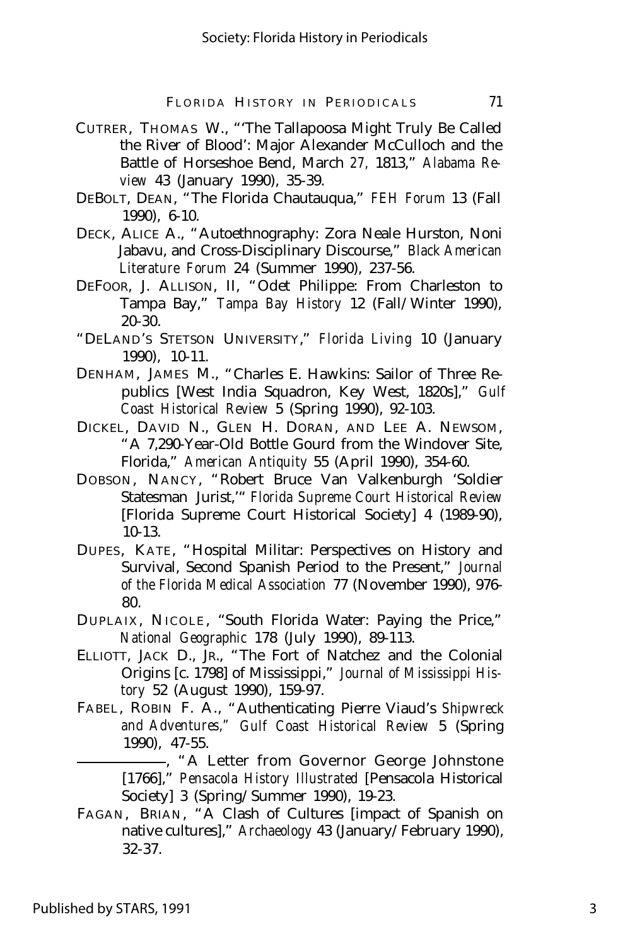- CUTRER, THOMAS W., "'The Tallapoosa Might Truly Be Called the River of Blood': Major Alexander McCulloch and the Battle of Horseshoe Bend, March *27,* 1813," *Alabama Review* 43 (January 1990), 35-39.
- DEBOLT, DEAN, "The Florida Chautauqua," *FEH Forum* 13 (Fall 1990), 6-10.
- DECK, ALICE A., "Autoethnography: Zora Neale Hurston, Noni Jabavu, and Cross-Disciplinary Discourse," *Black American Literature Forum* 24 (Summer 1990), 237-56.
- DEFOOR, J. ALLISON, II, "Odet Philippe: From Charleston to Tampa Bay," *Tampa Bay History* 12 (Fall/Winter 1990), 20-30.
- "DELAND'S STETSON UNIVERSITY," *Florida Living* 10 (January 1990), 10-11.
- DENHAM, JAMES M., "Charles E. Hawkins: Sailor of Three Republics [West India Squadron, Key West, 1820s]," *Gulf Coast Historical Review* 5 (Spring 1990), 92-103.
- DICKEL, DAVID N., GLEN H. DORAN, AND LEE A. NEWSOM, "A 7,290-Year-Old Bottle Gourd from the Windover Site, Florida," *American Antiquity* 55 (April 1990), 354-60.
- DOBSON, NANCY, "Robert Bruce Van Valkenburgh 'Soldier Statesman Jurist,'" *Florida Supreme Court Historical Review* [Florida Supreme Court Historical Society] 4 (1989-90), 10-13.
- DUPES, KATE, "Hospital Militar: Perspectives on History and Survival, Second Spanish Period to the Present," *Journal of the Florida Medical Association* 77 (November 1990), 976- 80.
- DUPLAIX , NICOLE , "South Florida Water: Paying the Price," *National Geographic* 178 (July 1990), 89-113.
- ELLIOTT, JACK D., JR., "The Fort of Natchez and the Colonial Origins [c. 1798] of Mississippi," *Journal of Mississippi History* 52 (August 1990), 159-97.
- FABEL, ROBIN F. A., "Authenticating Pierre Viaud's *Shipwreck and Adventures," Gulf Coast Historical Review* 5 (Spring 1990), 47-55.

, "A Letter from Governor George Johnstone [1766]," *Pensacola History Illustrated* [Pensacola Historical Society] 3 (Spring/Summer 1990), 19-23.

FAGAN, BRIAN, "A Clash of Cultures [impact of Spanish on native cultures]," *Archaeology* 43 (January/February 1990), 32-37.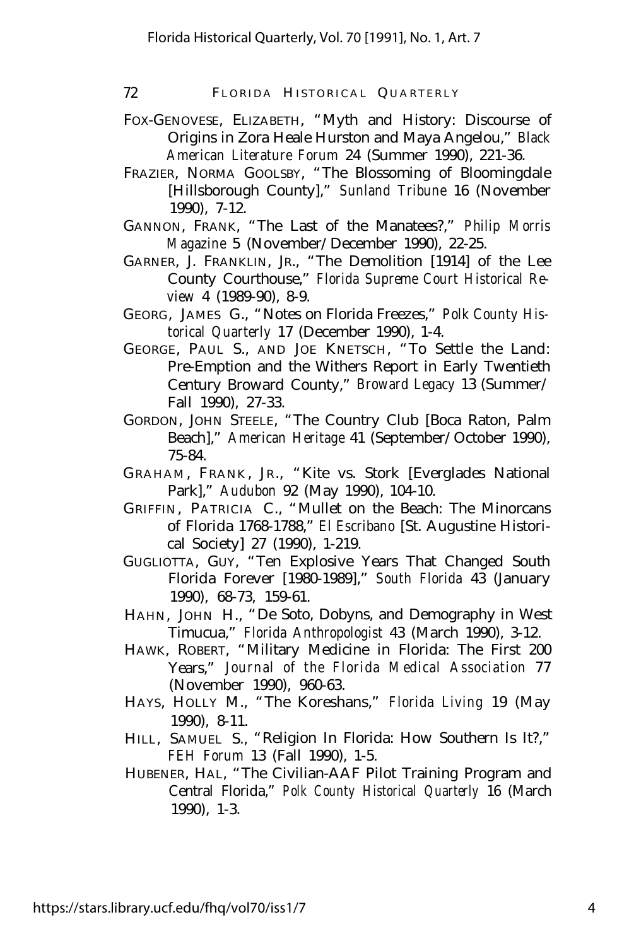- FOX-GENOVESE, ELIZABETH, "Myth and History: Discourse of Origins in Zora Heale Hurston and Maya Angelou," *Black American Literature Forum* 24 (Summer 1990), 221-36.
- FRAZIER, NORMA GOOLSBY, "The Blossoming of Bloomingdale [Hillsborough County]," *Sunland Tribune* 16 (November 1990), 7-12.
- GANNON, FRANK, "The Last of the Manatees?," *Philip Morris Magazine* 5 (November/December 1990), 22-25.
- GARNER, J. FRANKLIN, JR., "The Demolition [1914] of the Lee County Courthouse," *Florida Supreme Court Historical Review* 4 (1989-90), 8-9.
- GEORG, JAMES G., "Notes on Florida Freezes," *Polk County Historical Quarterly* 17 (December 1990), 1-4.
- GEORGE, PAUL S., AND JOE KNETSCH, "To Settle the Land: Pre-Emption and the Withers Report in Early Twentieth Century Broward County," *Broward Legacy* 13 (Summer/ Fall 1990), 27-33.
- GORDON, JOHN STEELE, "The Country Club [Boca Raton, Palm Beach]," *American Heritage* 41 (September/October 1990), 75-84.
- GRAHAM, FRANK, JR., "Kite vs. Stork [Everglades National] Park]," *Audubon* 92 (May 1990), 104-10.
- GRIFFIN, PATRICIA C., "Mullet on the Beach: The Minorcans of Florida 1768-1788," *El Escribano* [St. Augustine Historical Society] 27 (1990), 1-219.
- GUGLIOTTA, GUY, "Ten Explosive Years That Changed South Florida Forever [1980-1989]," *South Florida* 43 (January 1990), 68-73, 159-61.
- HAHN, JOHN H., "De Soto, Dobyns, and Demography in West Timucua," *Florida Anthropologist* 43 (March 1990), 3-12.
- HAWK, ROBERT, "Military Medicine in Florida: The First 200 Years," *Journal of the Florida Medical Association* 77 (November 1990), 960-63.
- HAYS, HOLLY M., "The Koreshans," *Florida Living* 19 (May 1990), 8-11.
- HILL, SAMUEL S., "Religion In Florida: How Southern Is It?," *FEH Forum* 13 (Fall 1990), 1-5.
- HUBENER, HAL, "The Civilian-AAF Pilot Training Program and Central Florida," *Polk County Historical Quarterly* 16 (March 1990), 1-3.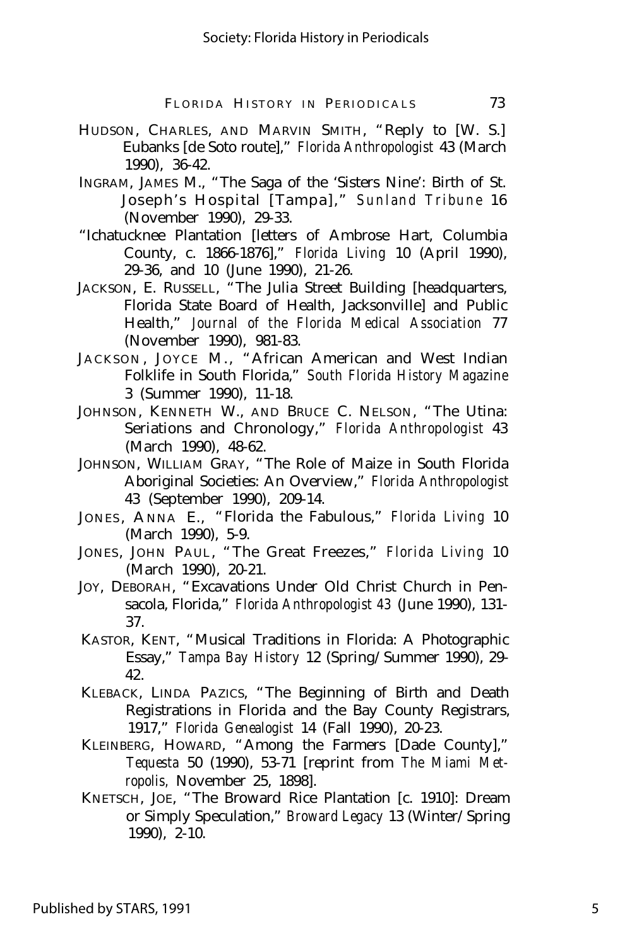- HUDSON, CHARLES, AND MARVIN SMITH, "Reply to [W. S.] Eubanks [de Soto route]," *Florida Anthropologist* 43 (March 1990), 36-42.
- INGRAM, JAMES M., "The Saga of the 'Sisters Nine': Birth of St. Joseph's Hospital [Tampa]," *Sunland Tribune* 16 (November 1990), 29-33.
- "Ichatucknee Plantation [letters of Ambrose Hart, Columbia County, c. 1866-1876]," *Florida Living* 10 (April 1990), 29-36, and 10 (June 1990), 21-26.
- JACKSON, E. RUSSELL, "The Julia Street Building [headquarters, Florida State Board of Health, Jacksonville] and Public Health," *Journal of the Florida Medical Association* 77 (November 1990), 981-83.
- JACKSON, JOYCE M., "African American and West Indian Folklife in South Florida," *South Florida History Magazine* 3 (Summer 1990), 11-18.
- JOHNSON, KENNETH W., AND BRUCE C. NELSON, "The Utina: Seriations and Chronology," *Florida Anthropologist* 43 (March 1990), 48-62.
- JOHNSON, WILLIAM GRAY, "The Role of Maize in South Florida Aboriginal Societies: An Overview," *Florida Anthropologist* 43 (September 1990), 209-14.
- JONES, ANNA E., "Florida the Fabulous," Florida Living 10 (March 1990), 5-9.
- JONES, JOHN PAUL, "The Great Freezes," *Florida Living* 10 (March 1990), 20-21.
- JOY, DEBORAH, "Excavations Under Old Christ Church in Pensacola, Florida," *Florida Anthropologist 43* (June 1990), 131- 37.
- KASTOR, KENT, "Musical Traditions in Florida: A Photographic Essay," *Tampa Bay History* 12 (Spring/Summer 1990), 29- 42.
- KLEBACK, LINDA PAZICS, "The Beginning of Birth and Death Registrations in Florida and the Bay County Registrars, 1917," *Florida Genealogist* 14 (Fall 1990), 20-23.
- KLEINBERG, HOWARD, "Among the Farmers [Dade County]," *Tequesta* 50 (1990), 53-71 [reprint from *The Miami Metropolis,* November 25, 1898].
- KNETSCH, JOE, "The Broward Rice Plantation [c. 1910]: Dream or Simply Speculation," *Broward Legacy* 13 (Winter/Spring 1990), 2-10.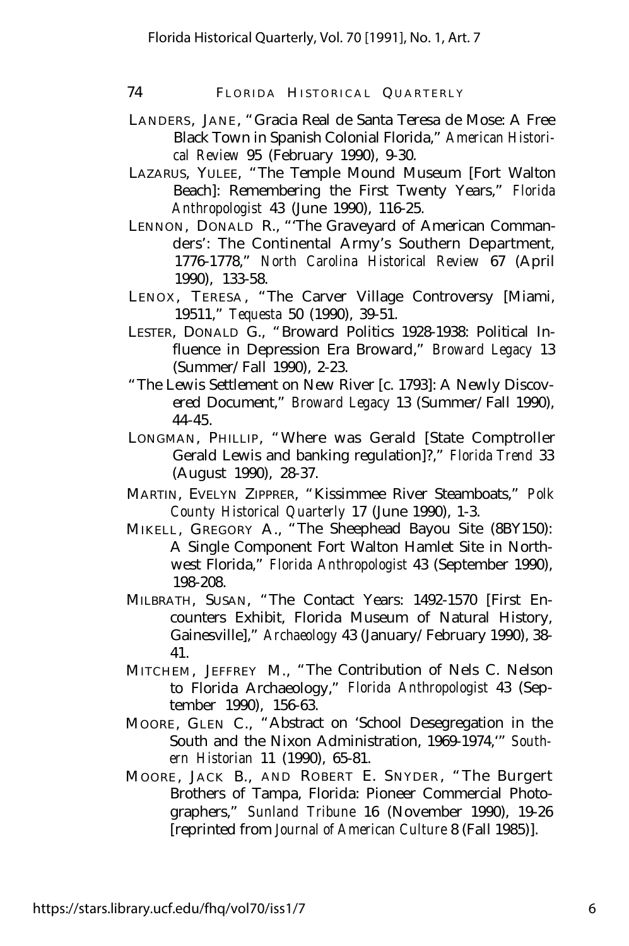- LANDERS, JANE, "Gracia Real de Santa Teresa de Mose: A Free Black Town in Spanish Colonial Florida," *American Historical Review* 95 (February 1990), 9-30.
- LAZARUS, YULEE, "The Temple Mound Museum [Fort Walton Beach]: Remembering the First Twenty Years," *Florida Anthropologist* 43 (June 1990), 116-25.
- LENNON, DONALD R., "'The Graveyard of American Commanders': The Continental Army's Southern Department, 1776-1778," *North Carolina Historical Review* 67 (April 1990), 133-58.
- LENOX, TERESA, "The Carver Village Controversy [Miami, 19511," *Tequesta* 50 (1990), 39-51.
- LESTER, DONALD G., "Broward Politics 1928-1938: Political Influence in Depression Era Broward," *Broward Legacy* 13 (Summer/Fall 1990), 2-23.
- "The Lewis Settlement on New River [c. 1793]: A Newly Discovered Document," *Broward Legacy* 13 (Summer/Fall 1990), 44-45.
- LONGMAN, PHILLIP, "Where was Gerald [State Comptroller Gerald Lewis and banking regulation]?," *Florida Trend* 33 (August 1990), 28-37.
- MARTIN, EVELYN ZIPPRER, "Kissimmee River Steamboats," *Polk County Historical Quarterly* 17 (June 1990), 1-3.
- MIKELL, GREGORY A., "The Sheephead Bayou Site (8BY150): A Single Component Fort Walton Hamlet Site in Northwest Florida," *Florida Anthropologist* 43 (September 1990), 198-208.
- MILBRATH, SUSAN, "The Contact Years: 1492-1570 [First Encounters Exhibit, Florida Museum of Natural History, Gainesville]," *Archaeology* 43 (January/February 1990), 38- 41.
- MITCHEM, JEFFREY M., "The Contribution of Nels C. Nelson to Florida Archaeology," *Florida Anthropologist* 43 (September 1990), 156-63.
- MOORE, GLEN C., "Abstract on 'School Desegregation in the South and the Nixon Administration, 1969-1974,'" *Southern Historian* 11 (1990), 65-81.
- MOORE, JACK B., AND ROBERT E. SNYDER, "The Burgert Brothers of Tampa, Florida: Pioneer Commercial Photographers," *Sunland Tribune* 16 (November 1990), 19-26 [reprinted from *Journal of American Culture* 8 (Fall 1985)].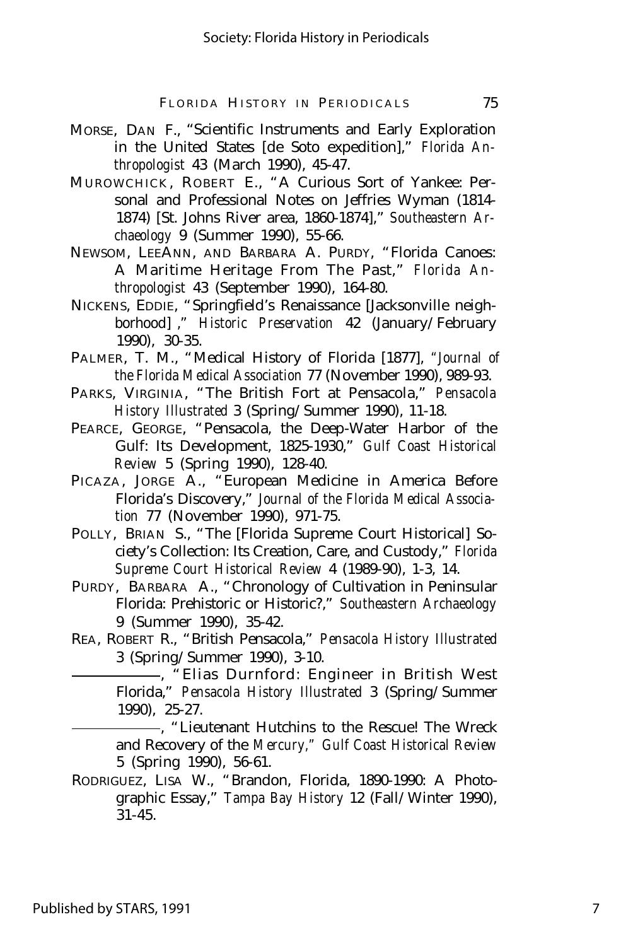- MORSE, DAN F., "Scientific Instruments and Early Exploration in the United States [de Soto expedition]," *Florida Anthropologist* 43 (March 1990), 45-47.
- MUROWCHICK , ROBERT E., "A Curious Sort of Yankee: Personal and Professional Notes on Jeffries Wyman (1814- 1874) [St. Johns River area, 1860-1874]," *Southeastern Archaeology* 9 (Summer 1990), 55-66.
- NEWSOM, LEEANN, AND BARBARA A. PURDY, "Florida Canoes: A Maritime Heritage From The Past," *Florida Anthropologist* 43 (September 1990), 164-80.
- NICKENS, EDDIE, "Springfield's Renaissance [Jacksonville neighborhood] ," *Historic Preservation* 42 (January/February 1990), 30-35.
- PALMER, T. M., "Medical History of Florida [1877], *"Journal of the Florida Medical Association* 77 (November 1990), 989-93.
- PARKS, VIRGINIA, "The British Fort at Pensacola," *Pensacola History Illustrated* 3 (Spring/Summer 1990), 11-18.
- PEARCE, GEORGE, "Pensacola, the Deep-Water Harbor of the Gulf: Its Development, 1825-1930," *Gulf Coast Historical Review* 5 (Spring 1990), 128-40.
- PICAZA, JORGE A., "European Medicine in America Before Florida's Discovery," *Journal of the Florida Medical Association* 77 (November 1990), 971-75.
- POLLY, BRIAN S., "The [Florida Supreme Court Historical] Society's Collection: Its Creation, Care, and Custody," *Florida Supreme Court Historical Review* 4 (1989-90), 1-3, 14.
- PURDY, BARBARA A., "Chronology of Cultivation in Peninsular Florida: Prehistoric or Historic?," *Southeastern Archaeology* 9 (Summer 1990), 35-42.
- REA, ROBERT R., "British Pensacola," *Pensacola History Illustrated* 3 (Spring/Summer 1990), 3-10.

, "Elias Durnford: Engineer in British West Florida," *Pensacola History Illustrated* 3 (Spring/Summer 1990), 25-27.

, "Lieutenant Hutchins to the Rescue! The Wreck and Recovery of the *Mercury," Gulf Coast Historical Review* 5 (Spring 1990), 56-61.

RODRIGUEZ, LISA W., "Brandon, Florida, 1890-1990: A Photographic Essay," *Tampa Bay History* 12 (Fall/Winter 1990), 31-45.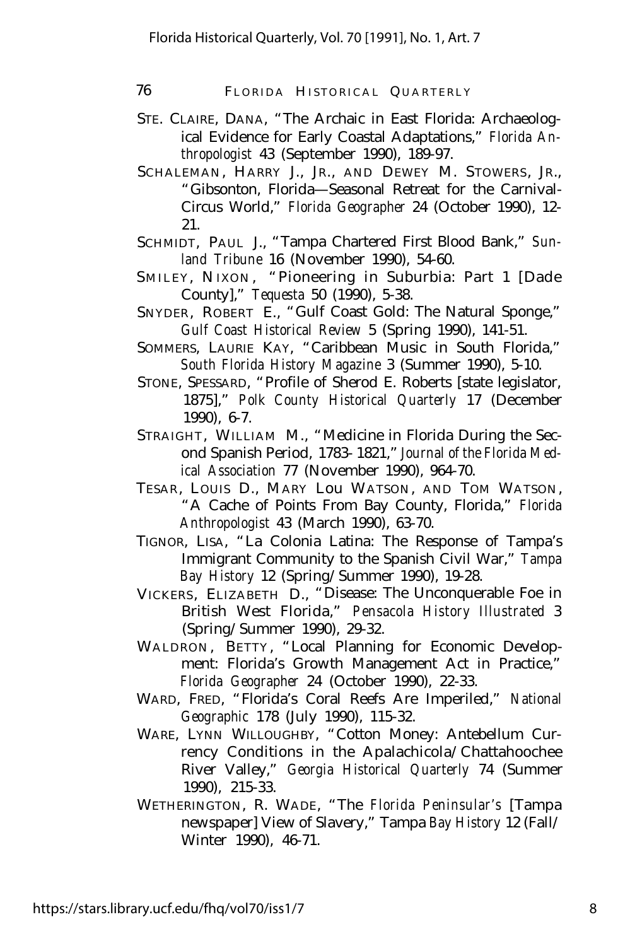- STE. CLAIRE, DANA, "The Archaic in East Florida: Archaeological Evidence for Early Coastal Adaptations," *Florida Anthropologist* 43 (September 1990), 189-97.
- SCHALEMAN, HARRY J., JR., AND DEWEY M. STOWERS, JR., "Gibsonton, Florida— Seasonal Retreat for the Carnival-Circus World," *Florida Geographer* 24 (October 1990), 12- 21.
- SCHMIDT, PAUL J., "Tampa Chartered First Blood Bank," *Sunland Tribune* 16 (November 1990), 54-60.
- SMILEY, NIXON, "Pioneering in Suburbia: Part 1 [Dade County]," *Tequesta* 50 (1990), 5-38.
- SNYDER, ROBERT E., "Gulf Coast Gold: The Natural Sponge," *Gulf Coast Historical Review* 5 (Spring 1990), 141-51.
- SOMMERS, LAURIE KAY, "Caribbean Music in South Florida," *South Florida History Magazine* 3 (Summer 1990), 5-10.
- STONE, SPESSARD, "Profile of Sherod E. Roberts [state legislator, 1875]," *Polk County Historical Quarterly* 17 (December 1990), 6-7.
- STRAIGHT, WILLIAM M., "Medicine in Florida During the Second Spanish Period, 1783- 1821," *Journal of the Florida Medical Association* 77 (November 1990), 964-70.
- TESAR, LOUIS D., MARY Lou WATSON, AND TOM WATSON, "A Cache of Points From Bay County, Florida," *Florida Anthropologist* 43 (March 1990), 63-70.
- TIGNOR, LISA, "La Colonia Latina: The Response of Tampa's Immigrant Community to the Spanish Civil War," *Tampa Bay History* 12 (Spring/Summer 1990), 19-28.
- VICKERS, ELIZABETH D., "Disease: The Unconquerable Foe in British West Florida," *Pensacola History Illustrated* 3 (Spring/Summer 1990), 29-32.
- WALDRON, BETTY, "Local Planning for Economic Development: Florida's Growth Management Act in Practice," *Florida Geographer* 24 (October 1990), 22-33.
- WARD, FRED, "Florida's Coral Reefs Are Imperiled," *National Geographic* 178 (July 1990), 115-32.
- WARE, LYNN WILLOUGHBY, "Cotton Money: Antebellum Currency Conditions in the Apalachicola/Chattahoochee River Valley," *Georgia Historical Quarterly* 74 (Summer 1990), 215-33.
- WETHERINGTON, R. WADE, "The *Florida Peninsular's* [Tampa newspaper] View of Slavery," Tampa *Bay History* 12 (Fall/ Winter 1990), 46-71.